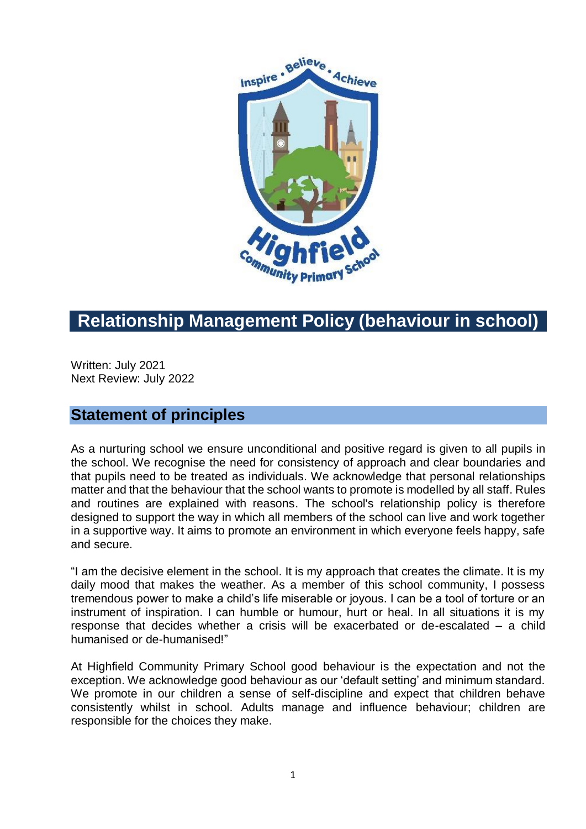

# **Relationship Management Policy (behaviour in school)**

Written: July 2021 Next Review: July 2022

## **Statement of principles**

As a nurturing school we ensure unconditional and positive regard is given to all pupils in the school. We recognise the need for consistency of approach and clear boundaries and that pupils need to be treated as individuals. We acknowledge that personal relationships matter and that the behaviour that the school wants to promote is modelled by all staff. Rules and routines are explained with reasons. The school's relationship policy is therefore designed to support the way in which all members of the school can live and work together in a supportive way. It aims to promote an environment in which everyone feels happy, safe and secure.

"I am the decisive element in the school. It is my approach that creates the climate. It is my daily mood that makes the weather. As a member of this school community, I possess tremendous power to make a child's life miserable or joyous. I can be a tool of torture or an instrument of inspiration. I can humble or humour, hurt or heal. In all situations it is my response that decides whether a crisis will be exacerbated or de-escalated – a child humanised or de-humanised!"

At Highfield Community Primary School good behaviour is the expectation and not the exception. We acknowledge good behaviour as our 'default setting' and minimum standard. We promote in our children a sense of self-discipline and expect that children behave consistently whilst in school. Adults manage and influence behaviour; children are responsible for the choices they make.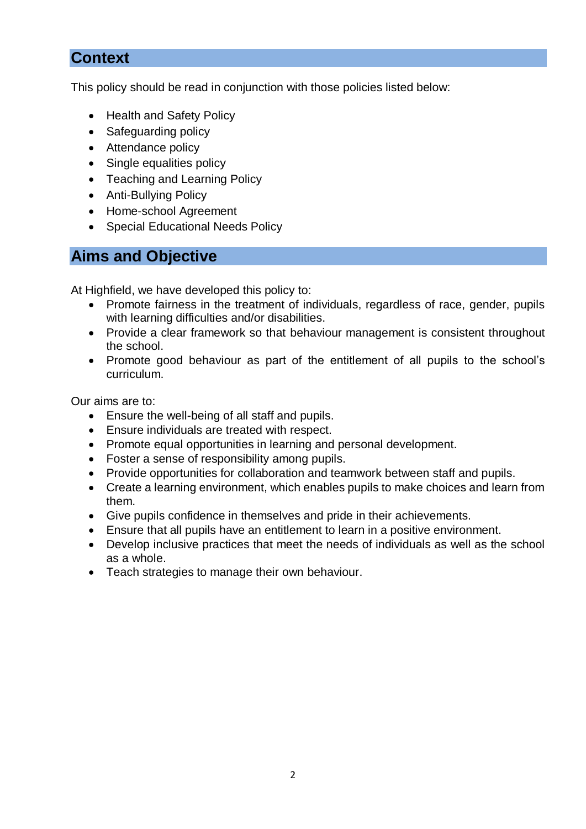# **Context**

This policy should be read in conjunction with those policies listed below:

- Health and Safety Policy
- Safeguarding policy
- Attendance policy
- Single equalities policy
- Teaching and Learning Policy
- Anti-Bullying Policy
- Home-school Agreement
- Special Educational Needs Policy

## **Aims and Objective**

At Highfield, we have developed this policy to:

- Promote fairness in the treatment of individuals, regardless of race, gender, pupils with learning difficulties and/or disabilities.
- Provide a clear framework so that behaviour management is consistent throughout the school.
- Promote good behaviour as part of the entitlement of all pupils to the school's curriculum.

Our aims are to:

- Ensure the well-being of all staff and pupils.
- Ensure individuals are treated with respect.
- Promote equal opportunities in learning and personal development.
- Foster a sense of responsibility among pupils.
- Provide opportunities for collaboration and teamwork between staff and pupils.
- Create a learning environment, which enables pupils to make choices and learn from them.
- Give pupils confidence in themselves and pride in their achievements.
- Ensure that all pupils have an entitlement to learn in a positive environment.
- Develop inclusive practices that meet the needs of individuals as well as the school as a whole.
- Teach strategies to manage their own behaviour.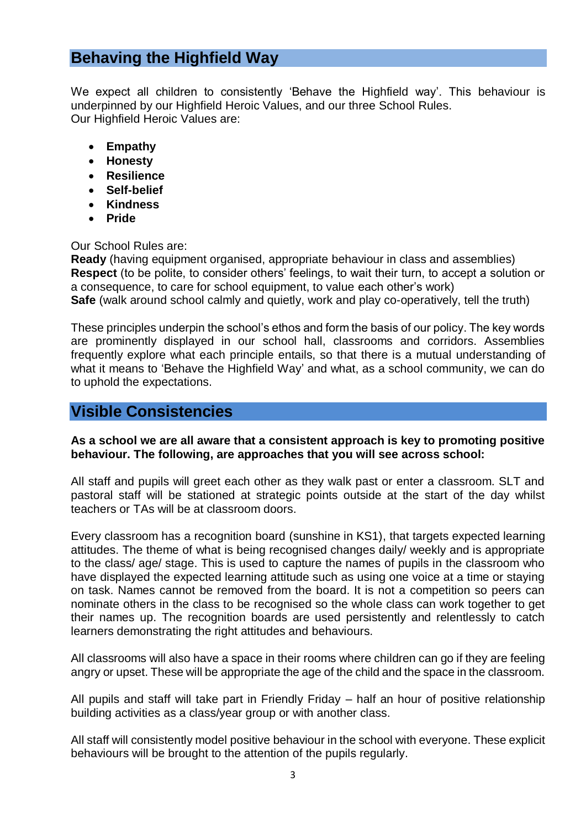# **Behaving the Highfield Way**

We expect all children to consistently 'Behave the Highfield way'. This behaviour is underpinned by our Highfield Heroic Values, and our three School Rules. Our Highfield Heroic Values are:

- **Empathy**
- **Honesty**
- **Resilience**
- **Self-belief**
- **Kindness**
- **Pride**

Our School Rules are:

**Ready** (having equipment organised, appropriate behaviour in class and assemblies) **Respect** (to be polite, to consider others' feelings, to wait their turn, to accept a solution or a consequence, to care for school equipment, to value each other's work) **Safe** (walk around school calmly and quietly, work and play co-operatively, tell the truth)

These principles underpin the school's ethos and form the basis of our policy. The key words are prominently displayed in our school hall, classrooms and corridors. Assemblies frequently explore what each principle entails, so that there is a mutual understanding of what it means to 'Behave the Highfield Way' and what, as a school community, we can do to uphold the expectations.

### **Visible Consistencies**

#### **As a school we are all aware that a consistent approach is key to promoting positive behaviour. The following, are approaches that you will see across school:**

All staff and pupils will greet each other as they walk past or enter a classroom. SLT and pastoral staff will be stationed at strategic points outside at the start of the day whilst teachers or TAs will be at classroom doors.

Every classroom has a recognition board (sunshine in KS1), that targets expected learning attitudes. The theme of what is being recognised changes daily/ weekly and is appropriate to the class/ age/ stage. This is used to capture the names of pupils in the classroom who have displayed the expected learning attitude such as using one voice at a time or staying on task. Names cannot be removed from the board. It is not a competition so peers can nominate others in the class to be recognised so the whole class can work together to get their names up. The recognition boards are used persistently and relentlessly to catch learners demonstrating the right attitudes and behaviours.

All classrooms will also have a space in their rooms where children can go if they are feeling angry or upset. These will be appropriate the age of the child and the space in the classroom.

All pupils and staff will take part in Friendly Friday – half an hour of positive relationship building activities as a class/year group or with another class.

All staff will consistently model positive behaviour in the school with everyone. These explicit behaviours will be brought to the attention of the pupils regularly.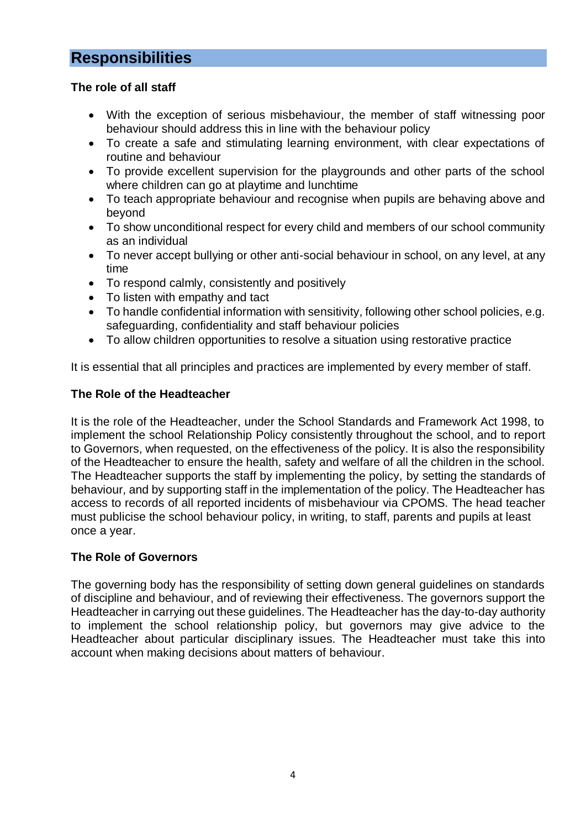# **Responsibilities**

#### **The role of all staff**

- With the exception of serious misbehaviour, the member of staff witnessing poor behaviour should address this in line with the behaviour policy
- To create a safe and stimulating learning environment, with clear expectations of routine and behaviour
- To provide excellent supervision for the playgrounds and other parts of the school where children can go at playtime and lunchtime
- To teach appropriate behaviour and recognise when pupils are behaving above and beyond
- To show unconditional respect for every child and members of our school community as an individual
- To never accept bullying or other anti-social behaviour in school, on any level, at any time
- To respond calmly, consistently and positively
- To listen with empathy and tact
- To handle confidential information with sensitivity, following other school policies, e.g. safeguarding, confidentiality and staff behaviour policies
- To allow children opportunities to resolve a situation using restorative practice

It is essential that all principles and practices are implemented by every member of staff.

#### **The Role of the Headteacher**

It is the role of the Headteacher, under the School Standards and Framework Act 1998, to implement the school Relationship Policy consistently throughout the school, and to report to Governors, when requested, on the effectiveness of the policy. It is also the responsibility of the Headteacher to ensure the health, safety and welfare of all the children in the school. The Headteacher supports the staff by implementing the policy, by setting the standards of behaviour, and by supporting staff in the implementation of the policy. The Headteacher has access to records of all reported incidents of misbehaviour via CPOMS. The head teacher must publicise the school behaviour policy, in writing, to staff, parents and pupils at least once a year.

#### **The Role of Governors**

The governing body has the responsibility of setting down general guidelines on standards of discipline and behaviour, and of reviewing their effectiveness. The governors support the Headteacher in carrying out these guidelines. The Headteacher has the day-to-day authority to implement the school relationship policy, but governors may give advice to the Headteacher about particular disciplinary issues. The Headteacher must take this into account when making decisions about matters of behaviour.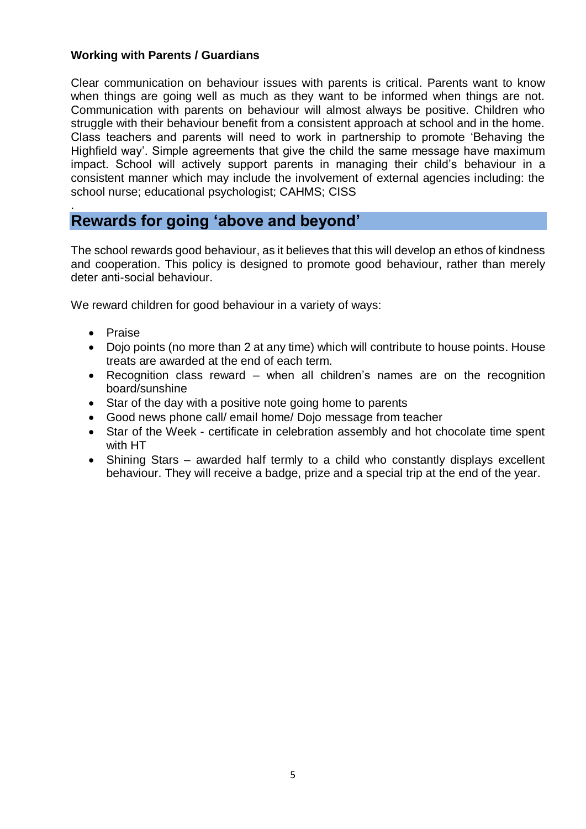#### **Working with Parents / Guardians**

Clear communication on behaviour issues with parents is critical. Parents want to know when things are going well as much as they want to be informed when things are not. Communication with parents on behaviour will almost always be positive. Children who struggle with their behaviour benefit from a consistent approach at school and in the home. Class teachers and parents will need to work in partnership to promote 'Behaving the Highfield way'. Simple agreements that give the child the same message have maximum impact. School will actively support parents in managing their child's behaviour in a consistent manner which may include the involvement of external agencies including: the school nurse; educational psychologist; CAHMS; CISS

### **Rewards for going 'above and beyond'**

The school rewards good behaviour, as it believes that this will develop an ethos of kindness and cooperation. This policy is designed to promote good behaviour, rather than merely deter anti-social behaviour.

We reward children for good behaviour in a variety of ways:

• Praise

.

- Dojo points (no more than 2 at any time) which will contribute to house points. House treats are awarded at the end of each term.
- Recognition class reward when all children's names are on the recognition board/sunshine
- Star of the day with a positive note going home to parents
- Good news phone call/ email home/ Dojo message from teacher
- Star of the Week certificate in celebration assembly and hot chocolate time spent with HT
- Shining Stars awarded half termly to a child who constantly displays excellent behaviour. They will receive a badge, prize and a special trip at the end of the year.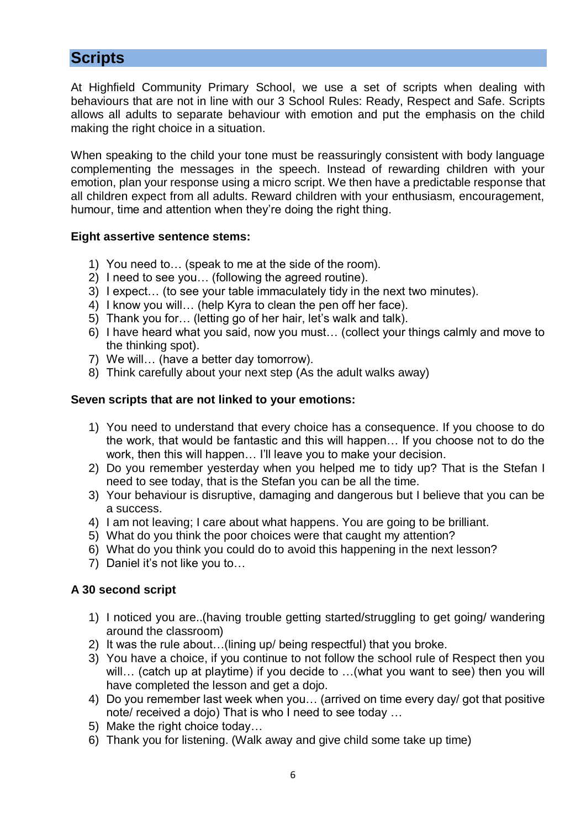## **Scripts**

At Highfield Community Primary School, we use a set of scripts when dealing with behaviours that are not in line with our 3 School Rules: Ready, Respect and Safe. Scripts allows all adults to separate behaviour with emotion and put the emphasis on the child making the right choice in a situation.

When speaking to the child your tone must be reassuringly consistent with body language complementing the messages in the speech. Instead of rewarding children with your emotion, plan your response using a micro script. We then have a predictable response that all children expect from all adults. Reward children with your enthusiasm, encouragement, humour, time and attention when they're doing the right thing.

#### **Eight assertive sentence stems:**

- 1) You need to… (speak to me at the side of the room).
- 2) I need to see you… (following the agreed routine).
- 3) I expect… (to see your table immaculately tidy in the next two minutes).
- 4) I know you will… (help Kyra to clean the pen off her face).
- 5) Thank you for… (letting go of her hair, let's walk and talk).
- 6) I have heard what you said, now you must… (collect your things calmly and move to the thinking spot).
- 7) We will… (have a better day tomorrow).
- 8) Think carefully about your next step (As the adult walks away)

#### **Seven scripts that are not linked to your emotions:**

- 1) You need to understand that every choice has a consequence. If you choose to do the work, that would be fantastic and this will happen… If you choose not to do the work, then this will happen… I'll leave you to make your decision.
- 2) Do you remember yesterday when you helped me to tidy up? That is the Stefan I need to see today, that is the Stefan you can be all the time.
- 3) Your behaviour is disruptive, damaging and dangerous but I believe that you can be a success.
- 4) I am not leaving; I care about what happens. You are going to be brilliant.
- 5) What do you think the poor choices were that caught my attention?
- 6) What do you think you could do to avoid this happening in the next lesson?
- 7) Daniel it's not like you to…

### **A 30 second script**

- 1) I noticed you are..(having trouble getting started/struggling to get going/ wandering around the classroom)
- 2) It was the rule about…(lining up/ being respectful) that you broke.
- 3) You have a choice, if you continue to not follow the school rule of Respect then you will… (catch up at playtime) if you decide to …(what you want to see) then you will have completed the lesson and get a dojo.
- 4) Do you remember last week when you… (arrived on time every day/ got that positive note/ received a dojo) That is who I need to see today …
- 5) Make the right choice today…
- 6) Thank you for listening. (Walk away and give child some take up time)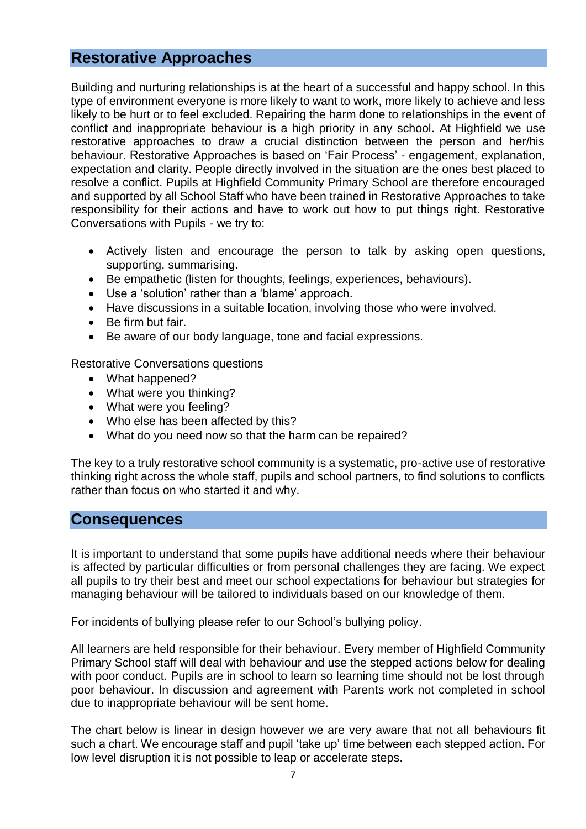## **Restorative Approaches**

Building and nurturing relationships is at the heart of a successful and happy school. In this type of environment everyone is more likely to want to work, more likely to achieve and less likely to be hurt or to feel excluded. Repairing the harm done to relationships in the event of conflict and inappropriate behaviour is a high priority in any school. At Highfield we use restorative approaches to draw a crucial distinction between the person and her/his behaviour. Restorative Approaches is based on 'Fair Process' - engagement, explanation, expectation and clarity. People directly involved in the situation are the ones best placed to resolve a conflict. Pupils at Highfield Community Primary School are therefore encouraged and supported by all School Staff who have been trained in Restorative Approaches to take responsibility for their actions and have to work out how to put things right. Restorative Conversations with Pupils - we try to:

- Actively listen and encourage the person to talk by asking open questions, supporting, summarising.
- Be empathetic (listen for thoughts, feelings, experiences, behaviours).
- Use a 'solution' rather than a 'blame' approach.
- Have discussions in a suitable location, involving those who were involved.
- Be firm but fair.
- Be aware of our body language, tone and facial expressions.

Restorative Conversations questions

- What happened?
- What were you thinking?
- What were you feeling?
- Who else has been affected by this?
- What do you need now so that the harm can be repaired?

The key to a truly restorative school community is a systematic, pro-active use of restorative thinking right across the whole staff, pupils and school partners, to find solutions to conflicts rather than focus on who started it and why.

### **Consequences**

It is important to understand that some pupils have additional needs where their behaviour is affected by particular difficulties or from personal challenges they are facing. We expect all pupils to try their best and meet our school expectations for behaviour but strategies for managing behaviour will be tailored to individuals based on our knowledge of them.

For incidents of bullying please refer to our School's bullying policy.

All learners are held responsible for their behaviour. Every member of Highfield Community Primary School staff will deal with behaviour and use the stepped actions below for dealing with poor conduct. Pupils are in school to learn so learning time should not be lost through poor behaviour. In discussion and agreement with Parents work not completed in school due to inappropriate behaviour will be sent home.

The chart below is linear in design however we are very aware that not all behaviours fit such a chart. We encourage staff and pupil 'take up' time between each stepped action. For low level disruption it is not possible to leap or accelerate steps.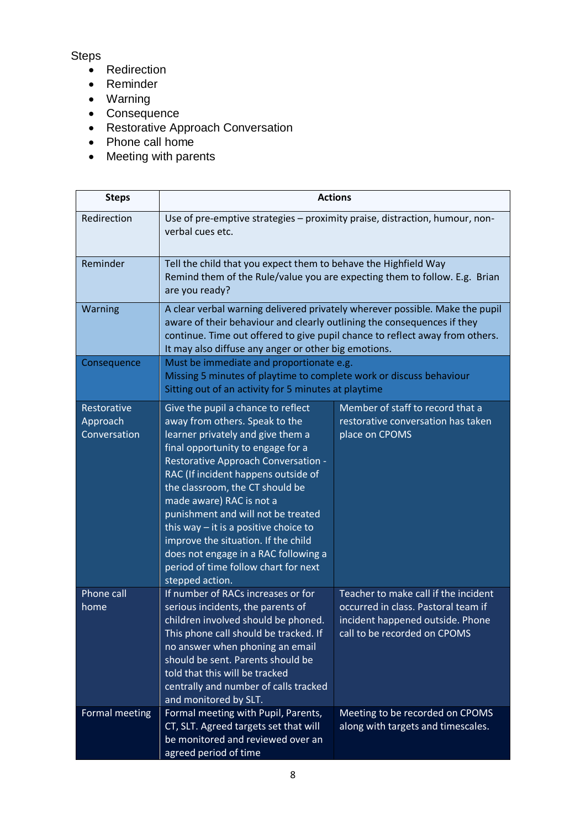### **Steps**

- Redirection
- Reminder
- Warning
- Consequence
- Restorative Approach Conversation
- Phone call home
- Meeting with parents

| <b>Steps</b>                            | <b>Actions</b>                                                                                                                                                                                                                                                                                                                                                                                                                                                                                                         |                                                                                                                                                 |
|-----------------------------------------|------------------------------------------------------------------------------------------------------------------------------------------------------------------------------------------------------------------------------------------------------------------------------------------------------------------------------------------------------------------------------------------------------------------------------------------------------------------------------------------------------------------------|-------------------------------------------------------------------------------------------------------------------------------------------------|
| Redirection                             | Use of pre-emptive strategies - proximity praise, distraction, humour, non-<br>verbal cues etc.                                                                                                                                                                                                                                                                                                                                                                                                                        |                                                                                                                                                 |
| Reminder                                | Tell the child that you expect them to behave the Highfield Way<br>Remind them of the Rule/value you are expecting them to follow. E.g. Brian<br>are you ready?                                                                                                                                                                                                                                                                                                                                                        |                                                                                                                                                 |
| Warning                                 | A clear verbal warning delivered privately wherever possible. Make the pupil<br>aware of their behaviour and clearly outlining the consequences if they<br>continue. Time out offered to give pupil chance to reflect away from others.<br>It may also diffuse any anger or other big emotions.                                                                                                                                                                                                                        |                                                                                                                                                 |
| Consequence                             | Must be immediate and proportionate e.g.<br>Missing 5 minutes of playtime to complete work or discuss behaviour<br>Sitting out of an activity for 5 minutes at playtime                                                                                                                                                                                                                                                                                                                                                |                                                                                                                                                 |
| Restorative<br>Approach<br>Conversation | Give the pupil a chance to reflect<br>away from others. Speak to the<br>learner privately and give them a<br>final opportunity to engage for a<br>Restorative Approach Conversation -<br>RAC (If incident happens outside of<br>the classroom, the CT should be<br>made aware) RAC is not a<br>punishment and will not be treated<br>this way $-$ it is a positive choice to<br>improve the situation. If the child<br>does not engage in a RAC following a<br>period of time follow chart for next<br>stepped action. | Member of staff to record that a<br>restorative conversation has taken<br>place on CPOMS                                                        |
| Phone call<br>home                      | If number of RACs increases or for<br>serious incidents, the parents of<br>children involved should be phoned.<br>This phone call should be tracked. If<br>no answer when phoning an email<br>should be sent. Parents should be<br>told that this will be tracked<br>centrally and number of calls tracked<br>and monitored by SLT.                                                                                                                                                                                    | Teacher to make call if the incident<br>occurred in class. Pastoral team if<br>incident happened outside. Phone<br>call to be recorded on CPOMS |
| Formal meeting                          | Formal meeting with Pupil, Parents,<br>CT, SLT. Agreed targets set that will<br>be monitored and reviewed over an<br>agreed period of time                                                                                                                                                                                                                                                                                                                                                                             | Meeting to be recorded on CPOMS<br>along with targets and timescales.                                                                           |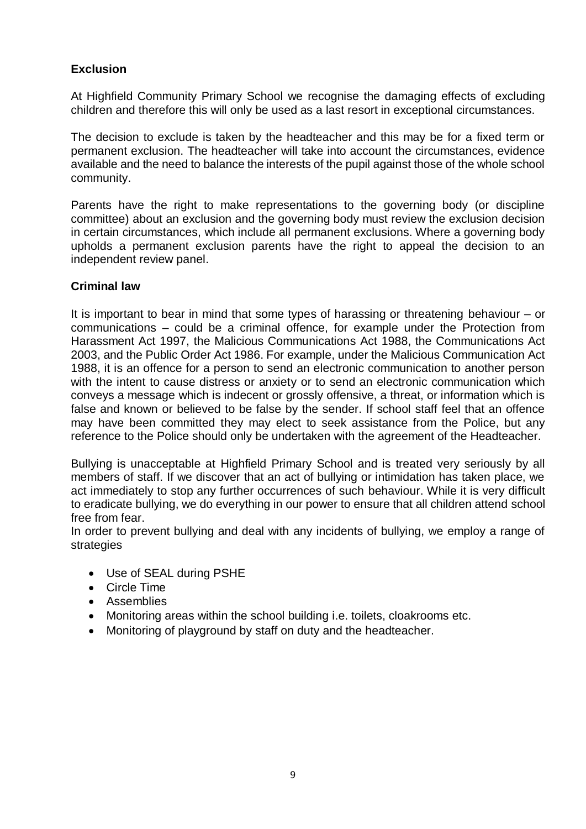### **Exclusion**

At Highfield Community Primary School we recognise the damaging effects of excluding children and therefore this will only be used as a last resort in exceptional circumstances.

The decision to exclude is taken by the headteacher and this may be for a fixed term or permanent exclusion. The headteacher will take into account the circumstances, evidence available and the need to balance the interests of the pupil against those of the whole school community.

Parents have the right to make representations to the governing body (or discipline committee) about an exclusion and the governing body must review the exclusion decision in certain circumstances, which include all permanent exclusions. Where a governing body upholds a permanent exclusion parents have the right to appeal the decision to an independent review panel.

#### **Criminal law**

It is important to bear in mind that some types of harassing or threatening behaviour – or communications – could be a criminal offence, for example under the Protection from Harassment Act 1997, the Malicious Communications Act 1988, the Communications Act 2003, and the Public Order Act 1986. For example, under the Malicious Communication Act 1988, it is an offence for a person to send an electronic communication to another person with the intent to cause distress or anxiety or to send an electronic communication which conveys a message which is indecent or grossly offensive, a threat, or information which is false and known or believed to be false by the sender. If school staff feel that an offence may have been committed they may elect to seek assistance from the Police, but any reference to the Police should only be undertaken with the agreement of the Headteacher.

Bullying is unacceptable at Highfield Primary School and is treated very seriously by all members of staff. If we discover that an act of bullying or intimidation has taken place, we act immediately to stop any further occurrences of such behaviour. While it is very difficult to eradicate bullying, we do everything in our power to ensure that all children attend school free from fear.

In order to prevent bullying and deal with any incidents of bullying, we employ a range of strategies

- Use of SEAL during PSHE
- Circle Time
- Assemblies
- Monitoring areas within the school building i.e. toilets, cloakrooms etc.
- Monitoring of playground by staff on duty and the headteacher.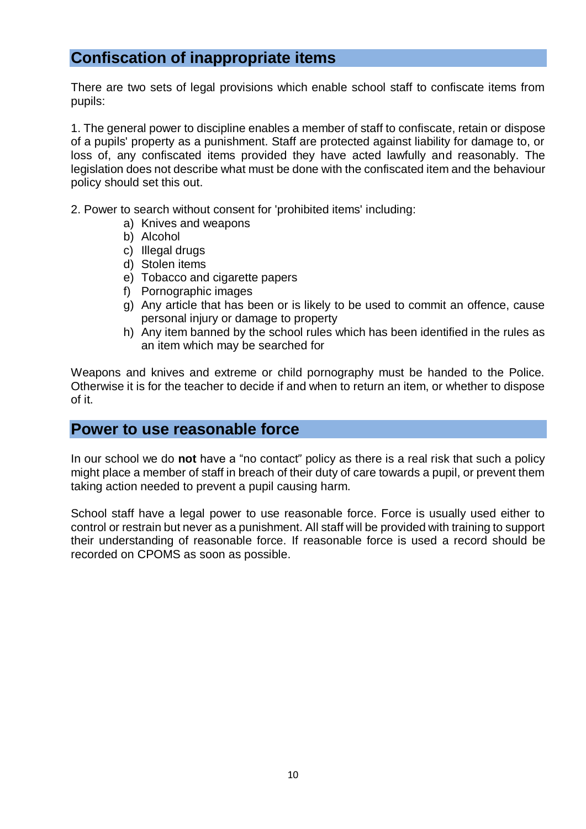# **Confiscation of inappropriate items**

There are two sets of legal provisions which enable school staff to confiscate items from pupils:

1. The general power to discipline enables a member of staff to confiscate, retain or dispose of a pupils' property as a punishment. Staff are protected against liability for damage to, or loss of, any confiscated items provided they have acted lawfully and reasonably. The legislation does not describe what must be done with the confiscated item and the behaviour policy should set this out.

2. Power to search without consent for 'prohibited items' including:

- a) Knives and weapons
- b) Alcohol
- c) Illegal drugs
- d) Stolen items
- e) Tobacco and cigarette papers
- f) Pornographic images
- g) Any article that has been or is likely to be used to commit an offence, cause personal injury or damage to property
- h) Any item banned by the school rules which has been identified in the rules as an item which may be searched for

Weapons and knives and extreme or child pornography must be handed to the Police. Otherwise it is for the teacher to decide if and when to return an item, or whether to dispose of it.

### **Power to use reasonable force**

In our school we do **not** have a "no contact" policy as there is a real risk that such a policy might place a member of staff in breach of their duty of care towards a pupil, or prevent them taking action needed to prevent a pupil causing harm.

School staff have a legal power to use reasonable force. Force is usually used either to control or restrain but never as a punishment. All staff will be provided with training to support their understanding of reasonable force. If reasonable force is used a record should be recorded on CPOMS as soon as possible.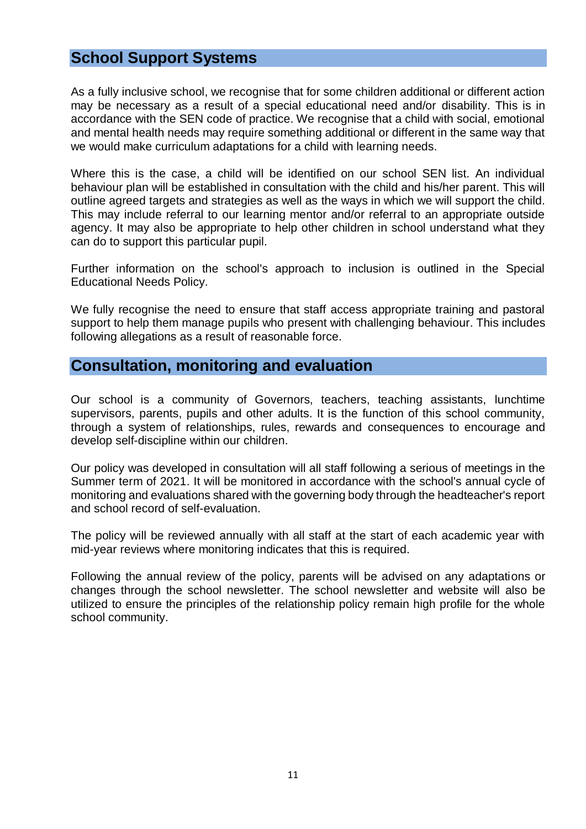## **School Support Systems**

As a fully inclusive school, we recognise that for some children additional or different action may be necessary as a result of a special educational need and/or disability. This is in accordance with the SEN code of practice. We recognise that a child with social, emotional and mental health needs may require something additional or different in the same way that we would make curriculum adaptations for a child with learning needs.

Where this is the case, a child will be identified on our school SEN list. An individual behaviour plan will be established in consultation with the child and his/her parent. This will outline agreed targets and strategies as well as the ways in which we will support the child. This may include referral to our learning mentor and/or referral to an appropriate outside agency. It may also be appropriate to help other children in school understand what they can do to support this particular pupil.

Further information on the school's approach to inclusion is outlined in the Special Educational Needs Policy.

We fully recognise the need to ensure that staff access appropriate training and pastoral support to help them manage pupils who present with challenging behaviour. This includes following allegations as a result of reasonable force.

### **Consultation, monitoring and evaluation**

Our school is a community of Governors, teachers, teaching assistants, lunchtime supervisors, parents, pupils and other adults. It is the function of this school community, through a system of relationships, rules, rewards and consequences to encourage and develop self-discipline within our children.

Our policy was developed in consultation will all staff following a serious of meetings in the Summer term of 2021. It will be monitored in accordance with the school's annual cycle of monitoring and evaluations shared with the governing body through the headteacher's report and school record of self-evaluation.

The policy will be reviewed annually with all staff at the start of each academic year with mid-year reviews where monitoring indicates that this is required.

Following the annual review of the policy, parents will be advised on any adaptations or changes through the school newsletter. The school newsletter and website will also be utilized to ensure the principles of the relationship policy remain high profile for the whole school community.